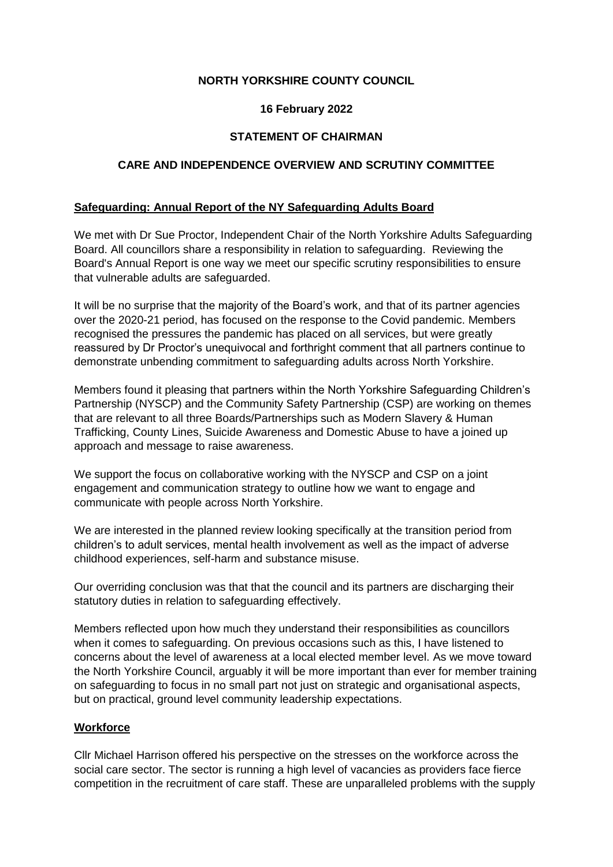# **NORTH YORKSHIRE COUNTY COUNCIL**

# **16 February 2022**

# **STATEMENT OF CHAIRMAN**

# **CARE AND INDEPENDENCE OVERVIEW AND SCRUTINY COMMITTEE**

### **Safeguarding: Annual Report of the NY Safeguarding Adults Board**

We met with Dr Sue Proctor, Independent Chair of the North Yorkshire Adults Safeguarding Board. All councillors share a responsibility in relation to safeguarding. Reviewing the Board's Annual Report is one way we meet our specific scrutiny responsibilities to ensure that vulnerable adults are safeguarded.

It will be no surprise that the majority of the Board's work, and that of its partner agencies over the 2020-21 period, has focused on the response to the Covid pandemic. Members recognised the pressures the pandemic has placed on all services, but were greatly reassured by Dr Proctor's unequivocal and forthright comment that all partners continue to demonstrate unbending commitment to safeguarding adults across North Yorkshire.

Members found it pleasing that partners within the North Yorkshire Safeguarding Children's Partnership (NYSCP) and the Community Safety Partnership (CSP) are working on themes that are relevant to all three Boards/Partnerships such as Modern Slavery & Human Trafficking, County Lines, Suicide Awareness and Domestic Abuse to have a joined up approach and message to raise awareness.

We support the focus on collaborative working with the NYSCP and CSP on a joint engagement and communication strategy to outline how we want to engage and communicate with people across North Yorkshire.

We are interested in the planned review looking specifically at the transition period from children's to adult services, mental health involvement as well as the impact of adverse childhood experiences, self-harm and substance misuse.

Our overriding conclusion was that that the council and its partners are discharging their statutory duties in relation to safeguarding effectively.

Members reflected upon how much they understand their responsibilities as councillors when it comes to safeguarding. On previous occasions such as this, I have listened to concerns about the level of awareness at a local elected member level. As we move toward the North Yorkshire Council, arguably it will be more important than ever for member training on safeguarding to focus in no small part not just on strategic and organisational aspects, but on practical, ground level community leadership expectations.

### **Workforce**

Cllr Michael Harrison offered his perspective on the stresses on the workforce across the social care sector. The sector is running a high level of vacancies as providers face fierce competition in the recruitment of care staff. These are unparalleled problems with the supply